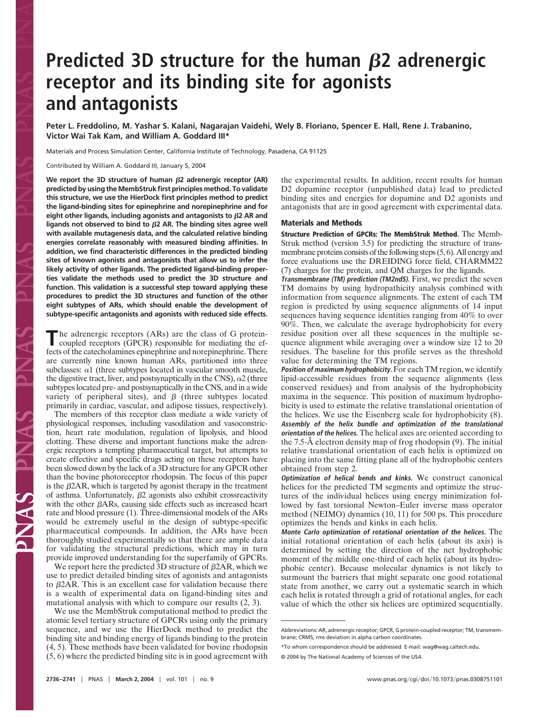# **Predicted 3D structure for the human**  $\beta$ **2 adrenergic receptor and its binding site for agonists and antagonists**

**Peter L. Freddolino, M. Yashar S. Kalani, Nagarajan Vaidehi, Wely B. Floriano, Spencer E. Hall, Rene J. Trabanino, Victor Wai Tak Kam, and William A. Goddard III\***

Materials and Process Simulation Center, California Institute of Technology, Pasadena, CA 91125

Contributed by William A. Goddard III, January 5, 2004

**We report the 3D structure of human 2 adrenergic receptor (AR) predicted by using the MembStruk first principles method. To validate this structure, we use the HierDock first principles method to predict the ligand-binding sites for epinephrine and norepinephrine and for eight other ligands, including agonists and antagonists to 2 AR and ligands not observed to bind to 2 AR. The binding sites agree well with available mutagenesis data, and the calculated relative binding energies correlate reasonably with measured binding affinities. In addition, we find characteristic differences in the predicted binding sites of known agonists and antagonists that allow us to infer the likely activity of other ligands. The predicted ligand-binding properties validate the methods used to predict the 3D structure and function. This validation is a successful step toward applying these procedures to predict the 3D structures and function of the other eight subtypes of ARs, which should enable the development of subtype-specific antagonists and agonists with reduced side effects.**

The adrenergic receptors (ARs) are the class of G protein-<br>coupled receptors (GPCR) responsible for mediating the effects of the catecholamines epinephrine and norepinephrine. There are currently nine known human ARs, partitioned into three subclasses:  $\alpha$ 1 (three subtypes located in vascular smooth muscle, the digestive tract, liver, and postsynaptically in the CNS),  $\alpha$ 2 (three subtypes located pre- and postsynaptically in the CNS, and in a wide variety of peripheral sites), and  $\beta$  (three subtypes located primarily in cardiac, vascular, and adipose tissues, respectively).

The members of this receptor class mediate a wide variety of physiological responses, including vasodilation and vasoconstriction, heart rate modulation, regulation of lipolysis, and blood clotting. These diverse and important functions make the adrenergic receptors a tempting pharmaceutical target, but attempts to create effective and specific drugs acting on these receptors have been slowed down by the lack of a 3D structure for any GPCR other than the bovine photoreceptor rhodopsin. The focus of this paper is the  $\beta$ 2AR, which is targeted by agonist therapy in the treatment of asthma. Unfortunately,  $\beta$ 2 agonists also exhibit crossreactivity with the other  $\beta$ ARs, causing side effects such as increased heart rate and blood pressure (1). Three-dimensional models of the ARs would be extremely useful in the design of subtype-specific pharmaceutical compounds. In addition, the ARs have been thoroughly studied experimentally so that there are ample data for validating the structural predictions, which may in turn provide improved understanding for the superfamily of GPCRs.

We report here the predicted 3D structure of  $\beta$ 2AR, which we use to predict detailed binding sites of agonists and antagonists to  $\beta$ 2AR. This is an excellent case for validation because there is a wealth of experimental data on ligand-binding sites and mutational analysis with which to compare our results (2, 3).

We use the MembStruk computational method to predict the atomic level tertiary structure of GPCRs using only the primary sequence, and we use the HierDock method to predict the binding site and binding energy of ligands binding to the protein (4, 5). These methods have been validated for bovine rhodopsin (5, 6) where the predicted binding site is in good agreement with the experimental results. In addition, recent results for human D2 dopamine receptor (unpublished data) lead to predicted binding sites and energies for dopamine and D2 agonists and antagonists that are in good agreement with experimental data.

## **Materials and Methods**

**Structure Prediction of GPCRs: The MembStruk Method.** The Memb-Struk method (version 3.5) for predicting the structure of transmembrane proteins consists of the following steps (5, 6). All energy and force evaluations use the DREIDING force field, CHARMM22 (7) charges for the protein, and QM charges for the ligands.

**Transmembrane (TM) prediction (TM2ndS).** First, we predict the seven TM domains by using hydropathicity analysis combined with information from sequence alignments. The extent of each TM region is predicted by using sequence alignments of 14 input sequences having sequence identities ranging from 40% to over 90%. Then, we calculate the average hydrophobicity for every residue position over all these sequences in the multiple sequence alignment while averaging over a window size 12 to 20 residues. The baseline for this profile serves as the threshold value for determining the TM regions.

**Position of maximum hydrophobicity.** For each TM region, we identify lipid-accessible residues from the sequence alignments (less conserved residues) and from analysis of the hydrophobicity maxima in the sequence. This position of maximum hydrophobicity is used to estimate the relative translational orientation of the helices. We use the Eisenberg scale for hydrophobicity (8). **Assembly of the helix bundle and optimization of the translational orientation of the helices.** The helical axes are oriented according to the 7.5-Å electron density map of frog rhodopsin (9). The initial relative translational orientation of each helix is optimized on placing into the same fitting plane all of the hydrophobic centers obtained from step 2.

**Optimization of helical bends and kinks.** We construct canonical helices for the predicted TM segments and optimize the structures of the individual helices using energy minimization followed by fast torsional Newton–Euler inverse mass operator method (NEIMO) dynamics (10, 11) for 500 ps. This procedure optimizes the bends and kinks in each helix.

**Monte Carlo optimization of rotational orientation of the helices.** The initial rotational orientation of each helix (about its axis) is determined by setting the direction of the net hydrophobic moment of the middle one-third of each helix (about its hydrophobic center). Because molecular dynamics is not likely to surmount the barriers that might separate one good rotational state from another, we carry out a systematic search in which each helix is rotated through a grid of rotational angles, for each value of which the other six helices are optimized sequentially.

Abbreviations: AR, adrenergic receptor; GPCR, G protein-coupled receptor; TM, transmembrane; CRMS, rms deviation in alpha carbon coordinates.

<sup>\*</sup>To whom correspondence should be addressed. E-mail: wag@wag.caltech.edu.

<sup>© 2004</sup> by The National Academy of Sciences of the USA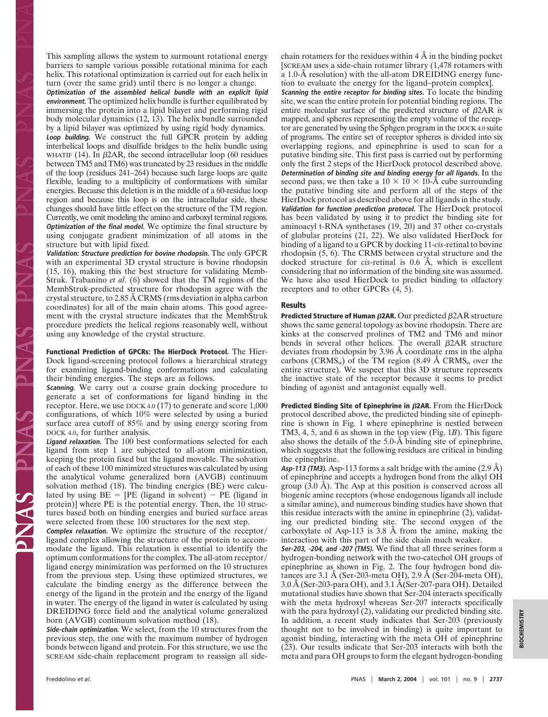This sampling allows the system to surmount rotational energy barriers to sample various possible rotational minima for each helix. This rotational optimization is carried out for each helix in turn (over the same grid) until there is no longer a change.

**Optimization of the assembled helical bundle with an explicit lipid environment.** The optimized helix bundle is further equilibrated by immersing the protein into a lipid bilayer and performing rigid body molecular dynamics (12, 13). The helix bundle surrounded by a lipid bilayer was optimized by using rigid body dynamics. **Loop building.** We construct the full GPCR protein by adding interhelical loops and disulfide bridges to the helix bundle using WHATIF (14). In  $\beta$ 2AR, the second intracellular loop (60 residues between TM5 and TM6) was truncated by 23 residues in the middle of the loop (residues 241–264) because such large loops are quite flexible, leading to a multiplicity of conformations with similar energies. Because this deletion is in the middle of a 60-residue loop region and because this loop is on the intracellular side, these changes should have little effect on the structure of the TM region. Currently, we omit modeling the amino and carboxyl terminal regions. **Optimization of the final model.** We optimize the final structure by using conjugate gradient minimization of all atoms in the structure but with lipid fixed.

**Validation: Structure prediction for bovine rhodopsin.** The only GPCR with an experimental 3D crystal structure is bovine rhodopsin (15, 16), making this the best structure for validating Memb-Struk. Trabanino *et al*. (6) showed that the TM regions of the MembStruk-predicted structure for rhodopsin agree with the crystal structure, to 2.85 Å CRMS (rms deviation in alpha carbon coordinates) for all of the main chain atoms. This good agreement with the crystal structure indicates that the MembStruk procedure predicts the helical regions reasonably well, without using any knowledge of the crystal structure.

**Functional Prediction of GPCRs: The HierDock Protocol.** The Hier-Dock ligand-screening protocol follows a hierarchical strategy for examining ligand-binding conformations and calculating their binding energies. The steps are as follows.

**Scanning.** We carry out a coarse grain docking procedure to generate a set of conformations for ligand binding in the receptor. Here, we use DOCK 4.0 (17) to generate and score 1,000 configurations, of which 10% were selected by using a buried surface area cutoff of 85% and by using energy scoring from DOCK 4.0, for further analysis.

**Ligand relaxation.** The 100 best conformations selected for each ligand from step 1 are subjected to all-atom minimization, keeping the protein fixed but the ligand movable. The solvation of each of these 100 minimized structures was calculated by using the analytical volume generalized born (AVGB) continuum solvation method (18). The binding energies (BE) were calculated by using  $BE = [PE$  (ligand in solvent) – PE (ligand in protein)] where PE is the potential energy. Then, the 10 structures based both on binding energies and buried surface areas were selected from these 100 structures for the next step.

**Complex relaxation.** We optimize the structure of the receptor/ ligand complex allowing the structure of the protein to accommodate the ligand. This relaxation is essential to identify the optimum conformations for the complex. The all-atom receptor/ ligand energy minimization was performed on the 10 structures from the previous step. Using these optimized structures, we calculate the binding energy as the difference between the energy of the ligand in the protein and the energy of the ligand in water. The energy of the ligand in water is calculated by using DREIDING force field and the analytical volume generalized born (AVGB) continuum solvation method (18).

**Side-chain optimization.** We select, from the 10 structures from the previous step, the one with the maximum number of hydrogen bonds between ligand and protein. For this structure, we use the SCREAM side-chain replacement program to reassign all sidechain rotamers for the residues within  $4 \text{ Å}$  in the binding pocket [SCREAM uses a side-chain rotamer library (1,478 rotamers with a 1.0-Å resolution) with the all-atom DREIDING energy function to evaluate the energy for the ligand–protein complex].

**Scanning the entire receptor for binding sites.** To locate the binding site, we scan the entire protein for potential binding regions. The entire molecular surface of the predicted structure of  $\beta$ 2AR is mapped, and spheres representing the empty volume of the receptor are generated by using the Sphgen program in the DOCK 4.0 suite of programs. The entire set of receptor spheres is divided into six overlapping regions, and epinephrine is used to scan for a putative binding site. This first pass is carried out by performing only the first 2 steps of the HierDock protocol described above. **Determination of binding site and binding energy for all ligands.** In the second pass, we then take a  $10 \times 10 \times 10$ -Å cube surrounding the putative binding site and perform all of the steps of the HierDock protocol as described above for all ligands in the study. **Validation for function prediction protocol.** The HierDock protocol has been validated by using it to predict the binding site for aminoacyl t-RNA synthetases (19, 20) and 37 other co-crystals of globular proteins (21, 22). We also validated HierDock for binding of a ligand to a GPCR by docking 11-*cis*-retinal to bovine rhodopsin (5, 6). The CRMS between crystal structure and the docked structure for *cis*-retinal is 0.6 Å, which is excellent considering that no information of the binding site was assumed. We have also used HierDock to predict binding to olfactory receptors and to other GPCRs (4, 5).

### **Results**

Predicted Structure of Human  $\beta$ 2AR. Our predicted  $\beta$ 2AR structure shows the same general topology as bovine rhodopsin. There are kinks at the conserved prolines of TM2 and TM6 and minor bends in several other helices. The overall  $\beta$ 2AR structure deviates from rhodopsin by 3.96 Å coordinate rms in the alpha carbons (CRMS<sub> $\alpha$ </sub>) of the TM region (8.49 Å CRMS<sub> $\alpha$ </sub> over the entire structure). We suspect that this 3D structure represents the inactive state of the receptor because it seems to predict binding of agonist and antagonist equally well.

**Predicted Binding Site of Epinephrine in**  $\beta$ **2AR.** From the HierDock protocol described above, the predicted binding site of epinephrine is shown in Fig. 1 where epinephrine is nestled between TM3, 4, 5, and 6 as shown in the top view (Fig. 1*B*). This figure also shows the details of the 5.0-Å binding site of epinephrine, which suggests that the following residues are critical in binding the epinephrine.

**Asp-113 (TM3).** Asp-113 forms a salt bridge with the amine  $(2.9 \text{ Å})$ of epinephrine and accepts a hydrogen bond from the alkyl OH group (3.0 Å). The Asp at this position is conserved across all biogenic amine receptors (whose endogenous ligands all include a similar amine), and numerous binding studies have shown that this residue interacts with the amine in epinephrine (2), validating our predicted binding site. The second oxygen of the carboxylate of Asp-113 is 3.8 Å from the amine, making the interaction with this part of the side chain much weaker.

**Ser-203, -204, and -207 (TM5).** We find that all three serines form a hydrogen-bonding network with the two-catechol OH groups of epinephrine as shown in Fig. 2. The four hydrogen bond distances are 3.1 Å (Ser-203-meta OH), 2.9 Å (Ser-204-meta OH), 3.0 Å (Ser-203-para OH), and 3.1 Å(Ser-207-para OH). Detailed mutational studies have shown that Ser-204 interacts specifically with the meta hydroxyl whereas Ser-207 interacts specifically with the para hydroxyl (2), validating our predicted binding site. In addition, a recent study indicates that Ser-203 (previously thought not to be involved in binding) is quite important to agonist binding, interacting with the meta OH of epinephrine (23). Our results indicate that Ser-203 interacts with both the meta and para OH groups to form the elegant hydrogen-bonding

E SVNG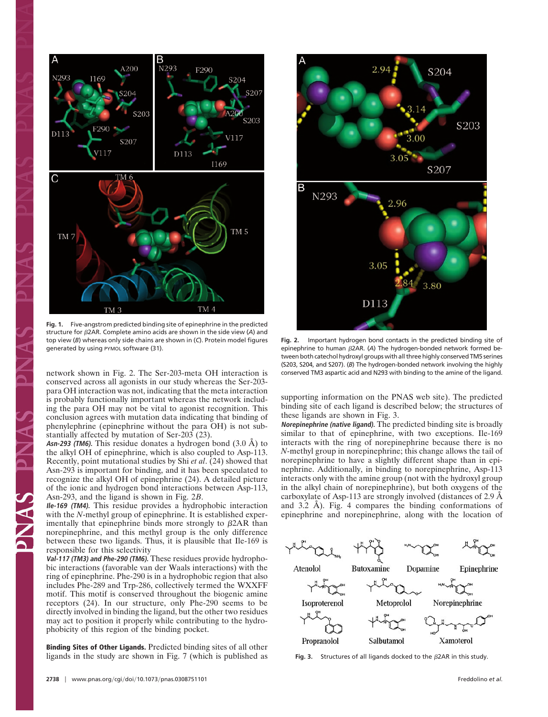

**Fig. 1.** Five-angstrom predicted binding site of epinephrine in the predicted structure for -2AR. Complete amino acids are shown in the side view (*A*) and top view (*B*) whereas only side chains are shown in (*C*). Protein model figures generated by using PYMOL software (31).

network shown in Fig. 2. The Ser-203-meta OH interaction is conserved across all agonists in our study whereas the Ser-203 para OH interaction was not, indicating that the meta interaction is probably functionally important whereas the network including the para OH may not be vital to agonist recognition. This conclusion agrees with mutation data indicating that binding of phenylephrine (epinephrine without the para OH) is not substantially affected by mutation of Ser-203 (23).

**Asn-293 (TM6).** This residue donates a hydrogen bond (3.0 Å) to the alkyl OH of epinephrine, which is also coupled to Asp-113. Recently, point mutational studies by Shi *et al*. (24) showed that Asn-293 is important for binding, and it has been speculated to recognize the alkyl OH of epinephrine (24). A detailed picture of the ionic and hydrogen bond interactions between Asp-113, Asn-293, and the ligand is shown in Fig. 2*B*.

**Ile-169 (TM4).** This residue provides a hydrophobic interaction with the *N*-methyl group of epinephrine. It is established experimentally that epinephrine binds more strongly to  $\beta$ 2AR than norepinephrine, and this methyl group is the only difference between these two ligands. Thus, it is plausible that Ile-169 is responsible for this selectivity

**Val-117 (TM3) and Phe-290 (TM6).** These residues provide hydrophobic interactions (favorable van der Waals interactions) with the ring of epinephrine. Phe-290 is in a hydrophobic region that also includes Phe-289 and Trp-286, collectively termed the WXXFF motif. This motif is conserved throughout the biogenic amine receptors (24). In our structure, only Phe-290 seems to be directly involved in binding the ligand, but the other two residues may act to position it properly while contributing to the hydrophobicity of this region of the binding pocket.

**Binding Sites of Other Ligands.** Predicted binding sites of all other ligands in the study are shown in Fig. 7 (which is published as



**Fig. 2.** Important hydrogen bond contacts in the predicted binding site of epinephrine to human  $\beta$ 2AR. (A) The hydrogen-bonded network formed between both catechol hydroxyl groups with all three highly conserved TM5 serines (S203, S204, and S207). (*B*) The hydrogen-bonded network involving the highly conserved TM3 aspartic acid and N293 with binding to the amine of the ligand.

supporting information on the PNAS web site). The predicted binding site of each ligand is described below; the structures of these ligands are shown in Fig. 3.

**Norepinephrine (native ligand).** The predicted binding site is broadly similar to that of epinephrine, with two exceptions. Ile-169 interacts with the ring of norepinephrine because there is no *N*-methyl group in norepinephrine; this change allows the tail of norepinephrine to have a slightly different shape than in epinephrine. Additionally, in binding to norepinephrine, Asp-113 interacts only with the amine group (not with the hydroxyl group in the alkyl chain of norepinephrine), but both oxygens of the carboxylate of Asp-113 are strongly involved (distances of 2.9 Å and 3.2 Å). Fig. 4 compares the binding conformations of epinephrine and norepinephrine, along with the location of



**Fig. 3.** Structures of all ligands docked to the  $\beta$ 2AR in this study.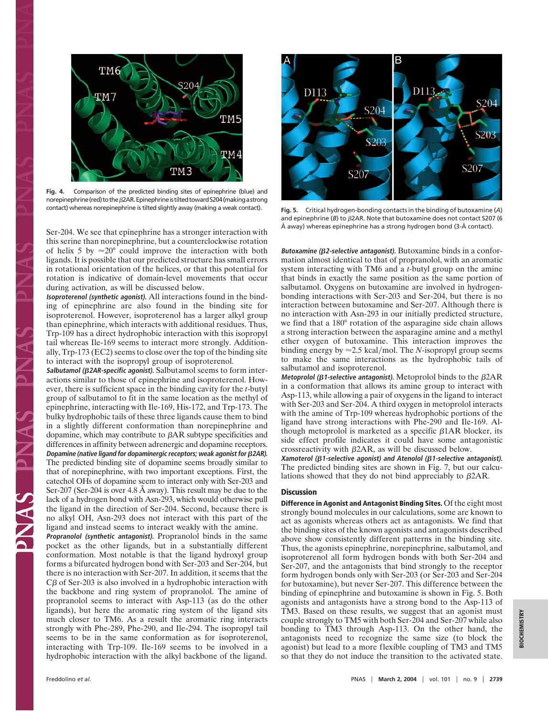

**Fig. 4.** Comparison of the predicted binding sites of epinephrine (blue) and norepinephrine (red) to the  $\beta$ 2AR. Epinephrine is tilted toward S204 (making a strong

Ser-204. We see that epinephrine has a stronger interaction with this serine than norepinephrine, but a counterclockwise rotation of helix 5 by  $\approx 20^{\circ}$  could improve the interaction with both ligands. It is possible that our predicted structure has small errors in rotational orientation of the helices, or that this potential for rotation is indicative of domain-level movements that occur during activation, as will be discussed below.

**Isoproterenol (synthetic agonist).** All interactions found in the binding of epinephrine are also found in the binding site for isoproterenol. However, isoproterenol has a larger alkyl group than epinephrine, which interacts with additional residues. Thus, Trp-109 has a direct hydrophobic interaction with this isopropyl tail whereas Ile-169 seems to interact more strongly. Additionally, Trp-173 (EC2) seems to close over the top of the binding site to interact with the isopropyl group of isoproterenol.

**Salbutamol (2AR-specific agonist).** Salbutamol seems to form interactions similar to those of epinephrine and isoproterenol. However, there is sufficient space in the binding cavity for the *t*-butyl group of salbutamol to fit in the same location as the methyl of epinephrine, interacting with Ile-169, His-172, and Trp-173. The bulky hydrophobic tails of these three ligands cause them to bind in a slightly different conformation than norepinephrine and dopamine, which may contribute to  $\beta$ AR subtype specificities and differences in affinity between adrenergic and dopamine receptors. **Dopamine (native ligand for dopaminergic receptors; weak agonist for 2AR).** The predicted binding site of dopamine seems broadly similar to that of norepinephrine, with two important exceptions. First, the catechol OHs of dopamine seem to interact only with Ser-203 and Ser-207 (Ser-204 is over 4.8 Å away). This result may be due to the lack of a hydrogen bond with Asn-293, which would otherwise pull the ligand in the direction of Ser-204. Second, because there is no alkyl OH, Asn-293 does not interact with this part of the ligand and instead seems to interact weakly with the amine.

**Propranolol (synthetic antagonist).** Propranolol binds in the same pocket as the other ligands, but in a substantially different conformation. Most notable is that the ligand hydroxyl group forms a bifurcated hydrogen bond with Ser-203 and Ser-204, but there is no interaction with Ser-207. In addition, it seems that the  $C\beta$  of Ser-203 is also involved in a hydrophobic interaction with the backbone and ring system of propranolol. The amine of propranolol seems to interact with Asp-113 (as do the other ligands), but here the aromatic ring system of the ligand sits much closer to TM6. As a result the aromatic ring interacts strongly with Phe-289, Phe-290, and Ile-294. The isopropyl tail seems to be in the same conformation as for isoproterenol, interacting with Trp-109. Ile-169 seems to be involved in a hydrophobic interaction with the alkyl backbone of the ligand.



contact) whereas norepinephrine is tilted slightly away (making a weak contact). **Fig. 5.** Critical hydrogen-bonding contacts in the binding of butoxamine (*A*) and epinephrine ( $B$ ) to  $\beta$ 2AR. Note that butoxamine does not contact S207 (6 Å away) whereas epinephrine has a strong hydrogen bond (3-Å contact).

**Butoxamine (2-selective antagonist).** Butoxamine binds in a conformation almost identical to that of propranolol, with an aromatic system interacting with TM6 and a *t-*butyl group on the amine that binds in exactly the same position as the same portion of salbutamol. Oxygens on butoxamine are involved in hydrogenbonding interactions with Ser-203 and Ser-204, but there is no interaction between butoxamine and Ser-207. Although there is no interaction with Asn-293 in our initially predicted structure, we find that a 180° rotation of the asparagine side chain allows a strong interaction between the asparagine amine and a methyl ether oxygen of butoxamine. This interaction improves the binding energy by  $\approx$  2.5 kcal/mol. The *N*-isopropyl group seems to make the same interactions as the hydrophobic tails of salbutamol and isoproterenol.

**Metoprolol (β1-selective antagonist).** Metoprolol binds to the β2AR in a conformation that allows its amine group to interact with Asp-113, while allowing a pair of oxygens in the ligand to interact with Ser-203 and Ser-204. A third oxygen in metoprolol interacts with the amine of Trp-109 whereas hydrophobic portions of the ligand have strong interactions with Phe-290 and Ile-169. Although metoprolol is marketed as a specific  $\beta$ 1AR blocker, its side effect profile indicates it could have some antagonistic crossreactivity with  $\beta$ 2AR, as will be discussed below.

**Xamoterol (1-selective agonist) and Atenolol (1-selective antagonist).** The predicted binding sites are shown in Fig. 7, but our calculations showed that they do not bind appreciably to  $\beta$ 2AR.

### **Discussion**

**Difference in Agonist and Antagonist Binding Sites.** Of the eight most strongly bound molecules in our calculations, some are known to act as agonists whereas others act as antagonists. We find that the binding sites of the known agonists and antagonists described above show consistently different patterns in the binding site. Thus, the agonists epinephrine, norepinephrine, salbutamol, and isoproterenol all form hydrogen bonds with both Ser-204 and Ser-207, and the antagonists that bind strongly to the receptor form hydrogen bonds only with Ser-203 (or Ser-203 and Ser-204 for butoxamine), but never Ser-207. This difference between the binding of epinephrine and butoxamine is shown in Fig. 5. Both agonists and antagonists have a strong bond to the Asp-113 of TM3. Based on these results, we suggest that an agonist must couple strongly to TM5 with both Ser-204 and Ser-207 while also bonding to TM3 through Asp-113. On the other hand, the antagonists need to recognize the same size (to block the agonist) but lead to a more flexible coupling of TM3 and TM5 so that they do not induce the transition to the activated state.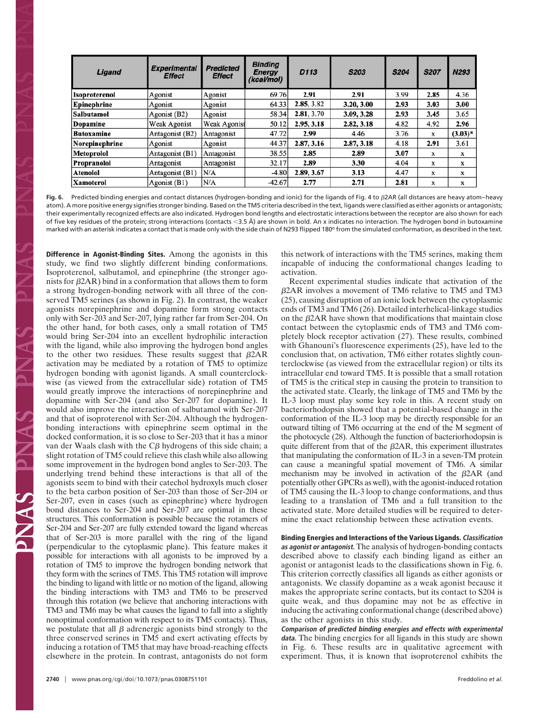| Ligand               | <b>Experimental</b><br><b>Effect</b> | <b>Predicted</b><br><b>Effect</b> | <b>Binding</b><br>Energy<br>(kcal/mol) | D <sub>113</sub> | <b>S203</b> | <b>S204</b> | <b>S207</b> | N293      |
|----------------------|--------------------------------------|-----------------------------------|----------------------------------------|------------------|-------------|-------------|-------------|-----------|
| <b>Isoproterenol</b> | Agonist                              | Agonist                           | 69.76                                  | 2.91             | 2.91        | 3.99        | 2.85        | 4.36      |
| Epinephrine          | Agonist                              | Agonist                           | 64.33                                  | 2.85, 3.82       | 3.20, 3.00  | 2.93        | 3.03        | 3.00      |
| Salbutamol           | Agonist (B2)                         | Agonist                           | 58.34                                  | 2.81, 3.70       | 3.09, 3.28  | 2.93        | 3.45        | 3.65      |
| <b>Dopamine</b>      | <b>Weak Agonist</b>                  | <b>Weak Agonist</b>               | 50.12                                  | 2.95, 3.18       | 2.82, 3.18  | 4.82        | 4.92        | 2.96      |
| <b>Butoxamine</b>    | Antagonist (B2)                      | Antagonist                        | 47.72                                  | 2.99             | 4.46        | 3.76        | $\mathbf x$ | $(3.03)*$ |
| Norepinephrine       | Agonist                              | Agonist                           | 44.37                                  | 2.87, 3.16       | 2.87, 3.18  | 4.18        | 2.91        | 3.61      |
| <b>Metoprolol</b>    | Antagonist (B1)                      | Antagonist                        | 38.55                                  | 2.85             | 2.89        | 3.07        | X           | X         |
| Propranolol          | Antagonist                           | Antagonist                        | 32.17                                  | 2.89             | 3.30        | 4.04        | X           | x         |
| <b>Atenolol</b>      | Antagonist (B1)                      | N/A                               | $-4.80$                                | 2.89, 3.67       | 3.13        | 4.47        | X           | X         |
| <b>Xamoterol</b>     | Agonist (B1)                         | N/A                               | $-42.67$                               | 2.77             | 2.71        | 2.81        | x           | x         |

Fig. 6. Predicted binding energies and contact distances (hydrogen-bonding and ionic) for the ligands of Fig. 4 to  $\beta$ 2AR (all distances are heavy atom–heavy atom). A more positive energy signifies stronger binding. Based on the TM5 criteria described in the text, ligands were classified as either agonists or antagonists; their experimentally recognized effects are also indicated. Hydrogen bond lengths and electrostatic interactions between the receptor are also shown for each of five key residues of the protein; strong interactions (contacts 3.5 Å) are shown in bold. An x indicates no interaction. The hydrogen bond in butoxamine marked with an asterisk indicates a contact that is made only with the side chain of N293 flipped 180° from the simulated conformation, as described in the text.

**Difference in Agonist-Binding Sites.** Among the agonists in this study, we find two slightly different binding conformations. Isoproterenol, salbutamol, and epinephrine (the stronger agonists for  $\beta$ 2AR) bind in a conformation that allows them to form a strong hydrogen-bonding network with all three of the conserved TM5 serines (as shown in Fig. 2). In contrast, the weaker agonists norepinephrine and dopamine form strong contacts only with Ser-203 and Ser-207, lying rather far from Ser-204. On the other hand, for both cases, only a small rotation of TM5 would bring Ser-204 into an excellent hydrophilic interaction with the ligand, while also improving the hydrogen bond angles to the other two residues. These results suggest that  $\beta$ 2AR activation may be mediated by a rotation of TM5 to optimize hydrogen bonding with agonist ligands. A small counterclockwise (as viewed from the extracellular side) rotation of TM5 would greatly improve the interactions of norepinephrine and dopamine with Ser-204 (and also Ser-207 for dopamine). It would also improve the interaction of salbutamol with Ser-207 and that of isoproterenol with Ser-204. Although the hydrogenbonding interactions with epinephrine seem optimal in the docked conformation, it is so close to Ser-203 that it has a minor van der Waals clash with the  $C\beta$  hydrogens of this side chain; a slight rotation of TM5 could relieve this clash while also allowing some improvement in the hydrogen bond angles to Ser-203. The underlying trend behind these interactions is that all of the agonists seem to bind with their catechol hydroxyls much closer to the beta carbon position of Ser-203 than those of Ser-204 or Ser-207, even in cases (such as epinephrine) where hydrogen bond distances to Ser-204 and Ser-207 are optimal in these structures. This conformation is possible because the rotamers of Ser-204 and Ser-207 are fully extended toward the ligand whereas that of Ser-203 is more parallel with the ring of the ligand (perpendicular to the cytoplasmic plane). This feature makes it possible for interactions with all agonists to be improved by a rotation of TM5 to improve the hydrogen bonding network that they form with the serines of TM5. This TM5 rotation will improve the binding to ligand with little or no motion of the ligand, allowing the binding interactions with TM3 and TM6 to be preserved through this rotation (we believe that anchoring interactions with TM3 and TM6 may be what causes the ligand to fall into a slightly nonoptimal conformation with respect to its TM5 contacts). Thus, we postulate that all  $\beta$  adrenergic agonists bind strongly to the three conserved serines in TM5 and exert activating effects by inducing a rotation of TM5 that may have broad-reaching effects elsewhere in the protein. In contrast, antagonists do not form this network of interactions with the TM5 serines, making them incapable of inducing the conformational changes leading to activation.

Recent experimental studies indicate that activation of the β2AR involves a movement of TM6 relative to TM5 and TM3 (25), causing disruption of an ionic lock between the cytoplasmic ends of TM3 and TM6 (26). Detailed interhelical-linkage studies on the  $\beta$ 2AR have shown that modifications that maintain close contact between the cytoplasmic ends of TM3 and TM6 completely block receptor activation (27). These results, combined with Ghanouni's fluorescence experiments (25), have led to the conclusion that, on activation, TM6 either rotates slightly counterclockwise (as viewed from the extracellular region) or tilts its intracellular end toward TM5. It is possible that a small rotation of TM5 is the critical step in causing the protein to transition to the activated state. Clearly, the linkage of TM5 and TM6 by the IL-3 loop must play some key role in this. A recent study on bacteriorhodopsin showed that a potential-based change in the conformation of the IL-3 loop may be directly responsible for an outward tilting of TM6 occurring at the end of the M segment of the photocycle (28). Although the function of bacteriorhodopsin is quite different from that of the  $\beta$ 2AR, this experiment illustrates that manipulating the conformation of IL-3 in a seven-TM protein can cause a meaningful spatial movement of TM6. A similar mechanism may be involved in activation of the  $\beta$ 2AR (and potentially other GPCRs as well), with the agonist-induced rotation of TM5 causing the IL-3 loop to change conformations, and thus leading to a translation of TM6 and a full transition to the activated state. More detailed studies will be required to determine the exact relationship between these activation events.

**Binding Energies and Interactions of the Various Ligands. Classification as agonist or antagonist.** The analysis of hydrogen-bonding contacts described above to classify each binding ligand as either an agonist or antagonist leads to the classifications shown in Fig. 6. This criterion correctly classifies all ligands as either agonists or antagonists. We classify dopamine as a weak agonist because it makes the appropriate serine contacts, but its contact to S204 is quite weak, and thus dopamine may not be as effective in inducing the activating conformational change (described above) as the other agonists in this study.

**Comparison of predicted binding energies and effects with experimental data.** The binding energies for all ligands in this study are shown in Fig. 6. These results are in qualitative agreement with experiment. Thus, it is known that isoproterenol exhibits the